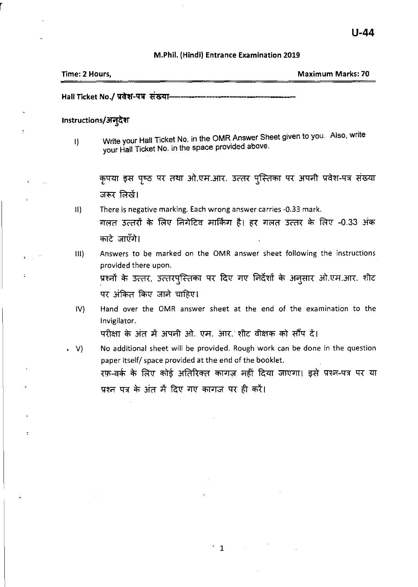#### M.Phii. (Hindi) Entrance Examination 2019

| Time: 2 Hours, | <b>Maximum Marks: 70</b> |
|----------------|--------------------------|
|                |                          |

Hall Ticket No./ प्रवेश-पत्र संखया-

### Instructions/अन्*देश*

I) Write your Hall Ticket No. in the OMR Answer Sheet given to you. Also, write your Hall Ticket No. in the space provided above.

कृपया इस पृष्ठ पर तथा ओ.एम.आर. उत्तर पुस्तिका पर अपनी प्रवेश-पत्र संख्या जरूर लिखें।

- II) There is negative marking. Each wrong answer carries -0.33 mark. गलत उत्तरों के लिए निगेटिव मार्किंग है। हर गलत उत्तर के लिए -0.33 अंक काटे जाएँगे।
- III) Answers to be marked on the OMR answer sheet following the instructions provided there upon. प्रश्नों के उत्तर, उत्तरपुस्तिका पर दिए गए निर्देशों के अनुसार ओ.एम.आर. शीट पर अंकित किए जाने चाहिए।
- IV) Hand over the OMR answer sheet at the end of the examination to the Invigilator. परीक्षा के अंत में अपनी ओ. एम. आर. शीट वीक्षक को सौंप दें।
- V) No additional sheet will be provided. Rough work can be done in the question paper itself/ space provided at the end of the booklet. रफ़-वर्क के लिए कोई अतिरिक्त कागज़ नहीं दिया जाएगा। इसे प्रश्न-पत्र पर या प्रश्न पत्र के अंत में दिए गए कागज पर ही करें।

. 1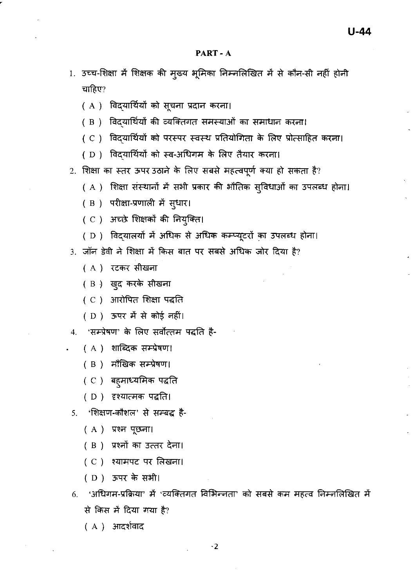- 1. उच्च-शिक्षा में शिक्षक की मुख्य भूमिका निम्नलिखित में से कौन-सी नहीं होनी चाहिए?
	- ( A ) विद्यार्थियों को सूचना प्रदान करना।
	- (B) विदयार्थियों की व्यक्तिगत समस्याओं का समाधान करना!
	- ( C ) विद्यार्थियों को परस्पर स्वस्थ प्रतियोगिता के लिए प्रोत्साहित करना।
	- (D) विद्यार्थियों को स्व-अधिगम के लिए तैयार करना।
- 2. शिक्षा का स्तर ऊपर उठाने के लिए सबसे महत्वपूर्ण क्या हो सकता है?
	- ( A ) शिक्षा संस्थानों में सभी प्रकार की भौतिक सुविधाओं का उपलब्ध होना।
	- ( B ) परीक्षा-प्रणाली में स्*धार।*
	- (C) अच्छे शिक्षकों की नियुक्ति।
	- (D) विद्यालयों में अधिक से अधिक कम्प्यूटरों का उपलब्ध होना।
- 3. जॉन डेवी ने शिक्षा में किस बात पर सबसे अधिक जोर दिया है?
	- ( A ) रटकर सीखना
	- ( B ) खुद करके सीखना
	- ( C ) आरोपित शिक्षा पद्धति
	- (D) ऊपर में से कोई नहीं।
- 4. 'सम्प्रेषण' के लिए सर्वोत्तम पद्धति है-
	- ( A ) शाब्दिक सम्प्रेषण।
	- ( B ) मौखिक सम्प्रेषण।
	- ( C ) बहुमाध्यमिक पद्धति
	- (D) दृश्यात्मक पद्धति।
- 5. 'शिक्षण-कौशल' से सम्बद्ध है-
	- $(A)$  प्रश्न पूछना।
	- ( B ) प्रश्नों का उत्तर देना।
	- (C) श्यामपट पर लिखना।
	- (D) ऊपर के सभी।
- 'अधिगम-प्रक्रिया' में 'व्यक्तिगत विभिन्नता' को सबसे कम महत्व निम्नलिखित में 6. से किस में दिया गया है?
	- (A) आदर्शवाद

 $\cdot$  2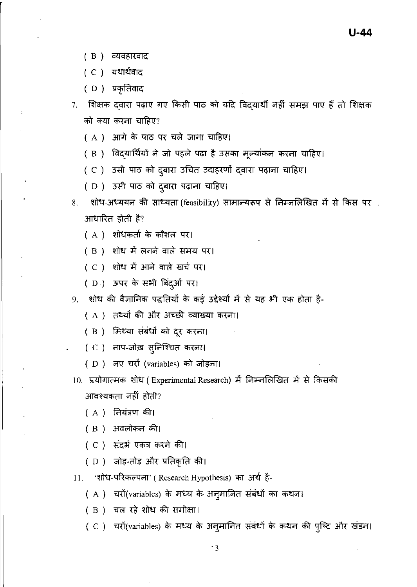- ( B) व्यवहारवाद
- ( C ) यथार्थवाद
- ( D) प्रकृतिवाद
- 7. शिक्षक दवारा पढ़ाए गए किसी पाठ को यदि विदयार्थी नहीं समझ पाए हैं तो शिक्षक को क्या करना चाहिए?
	- ( A ) आगे के पाठ पर चले जाना चाहिए।
	- ( B ) विदयार्थियों ने जो पहले पढ़ा है उसका मूल्यांकन करना चाहिए।
	- ( C ) उसी पाठ को दुबारा उचित उदाहरणों दवारा पढ़ाना चाहिए।
	- ( D ) उसी पाठ को दुबारा पढ़ाना चाहिए।
- 8. शोध-अध्ययन की साध्यता (feasibility) सामान्यरूप से निम्नलिखित में से किस पर आधारित होती है?
	- ( A ) शोधकर्ता के कौशल पर।
	- ( B ) शोध में लगने वाले समय पर।
	- ( C ) शोध में आने वाले खर्च पर।
	- ( D.) ऊपर के सभी बिंदुओं पर।
- 9. शोध की वैज्ञानिक पद्धतियों के कई उद्देश्यों में से यह भी एक होता है-
	- ( A ) तथ्यों की और अच्छी व्याख्या करना।
	- ( B ) मिथ्या संबंधों को दूर करना।
	- ( C ) नाप-जोख़ सुनिश्चित करना।
	- ( D ) नए चरों (variables) को जोड़ना।
- 10. प्रयोगात्मक शोध (Experimental Research) में निम्नलिखित में से किसकी आवश्यकता नहीं होती?
	- $(A)$  नियंत्रण की।
	- ( B ) अवलोकन की।
	- $(C)$  संदर्भ एकत्र करने की।
	- ( D ) जोड़-तोड़ और प्रतिकृति की।
- 11. 'शोध-परिकल्पना' (Research Hypothesis) का अर्थ है-
	- ( A ) चरों(variables) के मध्य के अनुमानित संबंधों का कथन।
	- ( B ) चल रहे शोध की समीक्षा।
	- ( C ) चरों(variables) के मध्य के अनुमानित संबंधों के कथन की पुष्टि और खंडन।

'3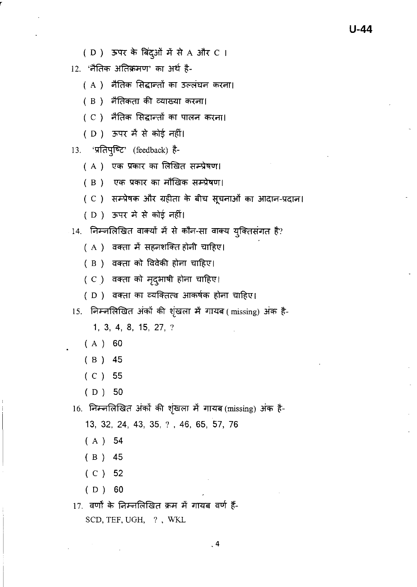- (D) ऊपर के बिंदुओं में से A और C I
- 12. 'नैतिक अतिक्रमण' का अर्थ है-
	- ( A ) मैतिक सिद्धान्तों का उल्लंघन करना।
	- ( B) नैतिकता की व्याख्या करना।
	- ( C ) नैतिक सिद्धान्तों का पालन करना।
	- (D) ऊपर मैं से कोई नहीं।

13. 'प्रतिपुष्टि' (feedback) है-

- ( A ) एक प्रकार का लिखित सम्प्रेषण।
- (B) एक प्रकार का मौखिक सम्प्रेषण।
- ( C ) सम्प्रेषक और ग्रहीता के बीच सूचनाओं का आदान-प्रदान।

 $U-44$ 

(D) ऊपर में से कोई नहीं।

14. निम्नलिखित वाक्यों में से कौन-सा वाक्य युक्तिसंगत है?

- ( A ) वक्ता में सहनशक्ति होनी चाहिए।
- ( B ) वक्ता को विवेकी होना चाहिए।
- ( C ) वक्ता को मृद्भाषी होना चाहिए।
- ( D) वक्ता का व्यक्तित्व आकर्षक होना चाहिए।

15. निम्नलिखित अंकों की शृंखला में गायब (missing) अंक है-

1, 3, 4, 8, 15, 27, ?

- $(A) 60$
- $(B)$  45
- $(C)$  55
- $(D)$  50

16. निम्नलिखित अंकों की शृंखला में गायब (missing) अंक है-

13, 32, 24, 43, 35, ?, 46, 65, 57, 76

- $(A) 54$
- $(B) 45$
- $(C)$  52
- $(D)$  60
- 17. वर्णों के निम्नलिखित क्रम में गायब वर्ण हैं-SCD, TEF, UGH, ?, WKL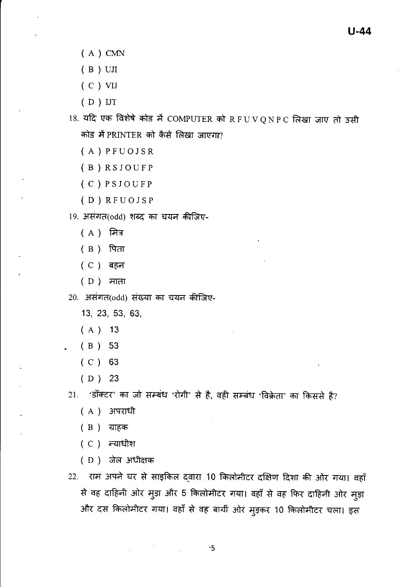- $(A)$  CMN
- $(B)$  UII
- $(C)$  VIJ
- $(D)$  IJT
- $18.$  यदि एक विशेषे कोड में COMPUTER को RFUVQNPC लिखा जाए तो उसी कोड में PRINTER को कैसे लिखा जाएगा?
	- $(A)$  PFUOJSR
	- (B) RSJOUFP
	- (C) PSJOUFP
	- $(D)$  RFUOJSP
- 19. असंगत(odd) शब्द का चयन कीजिए-
	- $(A)$  मित्र
	- ( B ) पिता
	- (C) बहन
	-
- 20. असंगत(odd) संख्या का चयन कीजिए-
	- 13, 23, 53, 63,
	- $(A)$  13
	- $(B) 53$
	- $(C) 63$
	- $(D)$  23

21. 'डॉक्टर' का जो सम्बंध 'रोगी' से है, वही सम्बंध 'विक्रेता' का किससे है?

- ( A ) अपराधी
- ( B ) ग्राहक
- $(C)$  न्याधीश
- (D) जेल अधीक्षक
- 22. राम अपने घर से साइकिल दवारा 10 किलोमीटर दक्षिण दिशा की ओर गया। वहाँ से वह दाहिनी ओर मुड़ा और 5 किलोमीटर गया। वहाँ से वह फिर दाहिनी ओर मुड़ा और दस किलोमीटर गया। वहाँ से वह बायीं ओर मुड़कर 10 किलोमीटर चला। इस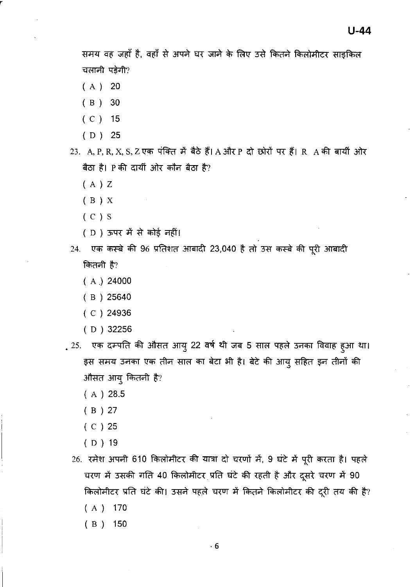समय वह जहाँ है, वहाँ से अपने घर जाने के लिए उसे कितने किलोमीटर साइकिल चलानी पड़ेगी?

- $(A)$  20
- $(B)$  30
- $(C)$  15
- $(D)$  25
- 23. A, P, R, X, S, Z एक पंक्ति में बैठे हैं। A और P दो छोरों पर हैं। R A की बायीं ओर बैठा है। P की दायीं ओर कौन बैठा है?
	- $(A)Z$
	- $(B)$  X
	- $(C) S$
	- ( D ) ऊपर में से कोई नहीं।
- 24. एक कस्बे की 96 प्रतिशत आबादी 23,040 है तो उस कस्बे की पूरी आबादी कितनी है?
	- $(A)$  24000
	- $(B)$  25640
	- $(C)$  24936
	- $(D)$  32256
- . 25. एक दम्पति की औसत आयु 22 वर्ष थी जब 5 साल पहले उनका विवाह हुआ था। इस समय उनका एक तीन साल का बेटा भी है। बेटे की आयु सहित इन तीनों की औसत आयु कितनी है?
	- $(A) 28.5$
	- $(B) 27$
	- $(C)$  25
	- $(D)$  19
	- 26. रमेश अपनी 610 किलोमीटर की यात्रा दो चरणों में, 9 घंटे में पूरी करता है। पहले चरण में उसकी गति 40 किलोमीटर प्रति घंटे की रहती है और दूसरे चरण में 90 किलोमीटर प्रति घंटे की। उसने पहले चरण में कितने किलोमीटर की दूरी तय की है?  $(A)$  170
		- $(B)$  150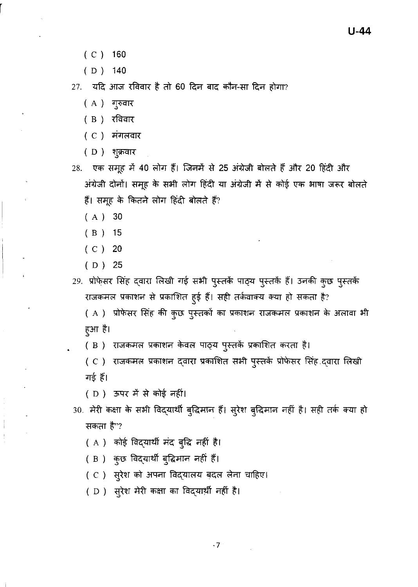- $(C)$  160
- $(D)$  140

27. यदि आज रविवार है तो 60 दिन बाद कौन-सा दिन होगा?

- (A) गुरुवार
- (B) रविवार
- (C) मंगलवार
- (D) शुक्रवार
- 28. एक समूह में 40 लोग हैं। जिनमें से 25 अंग्रेजी बोलते हैं और 20 हिंदी और अंग्रेजी दोनों। समूह के सभी लोग हिंदी या अंग्रेजी में से कोई एक भाषा जरूर बोलते हैं। समूह के कितने लोग हिंदी बोलते हैं?
	- $(A)$  30
	- $(B)$  15
	- $(C)$  20
	- $(D) 25$
- 29. प्रोफेसर सिंह दवारा लिखी गई सभी पुस्तकें पाठ्य पुस्तकें हैं। उनकी कुछ पुस्तकें राजकमल प्रकाशन से प्रकाशित हुई हैं। सही तर्कवाक्य क्या हो सकता है?
	- ( A ) प्रोफेसर सिंह की कुछ पुस्तकों का प्रकाशन राजकमल प्रकाशन के अलावा भी हुआ है।
	- (B) राजकमल प्रकाशन केवल पाठ्य पुस्तकें प्रकाशित करता है।
	- ( C ) राजकमल प्रकाशन दवारा प्रकाशित सभी पुस्तकें प्रोफेसर सिंह दवारा लिखी गई हैं।
	- ( D ) ऊपर में से कोई नहीं।
- 30. मेरी कक्षा के सभी विद्यार्थी बुद्धिमान हैं। सुरेश बुद्धिमान नहीं है। सही तर्क क्या हो सकता है"?
	- ( A ) कोई विद्यार्थी मंद बुद्धि नहीं है।
	- (B) कुछ विद्यार्थी बुद्धिमान नहीं हैं।
	- (C) सुरेश को अपना विद्यालय बदल लेना चाहिए।
	- (D) सुरेश मेरी कक्षा का विद्यार्थी नहीं है।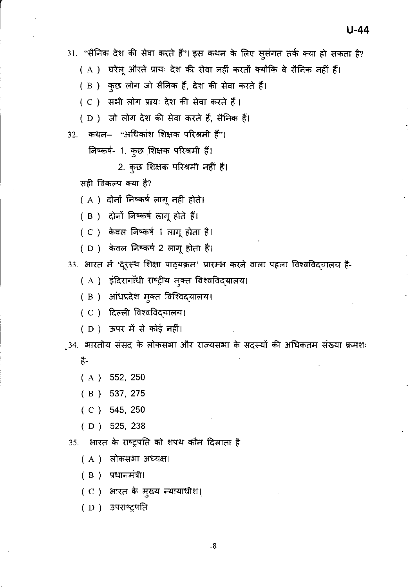31. "सैनिक देश की सेवा करते हैं"। इस कथन के लिए सुसंगत तर्क क्या हो सकता है?

( A ) जयेलू औरतें प्रायः देश की सेवा नहीं करतीं क्योंकि वे सैनिक नहीं हैं।

( B ) कुछ लोग जो सैनिक हैं, देश की सेवा करते हैं।

( C ) सभी लोग प्रायः देश की सेवा करते हैं।

( D ) जो लोग देश की सेवा करते हैं, सैनिक हैं।

32. कथन– "अधिकांश शिक्षक परिश्रमी हैं"।

 $\widehat{F}$ किकर्ष- 1. कुछ शिक्षक परिश्रमी हैं।

2. कुछ शिक्षक परिश्रमी नहीं हैं।

सही विकल्प क्या है?

 $(A)$  दोनों निष्कर्ष लागू नहीं होते।

( B ) दोनों निष्कर्ष लागू होते हैं।

( C ) केवल निष्कर्ष 1 लागू होता है।

( D ) केवल लिष्कर्ष 2 लागू होता है।<br>( D ) केवल लिष्कर्ष 2 लागू होता है।

33. भारत में 'दूरस्थ शिक्षा पाठ्यक्रम' प्रारम्भ करने वाला पहला विश्वविदयालय है-

- ( A ) इदिरागांधी राष्ट्रीय मुक्त विश्वविद्**यालय**।
- ( B ) आंध्रप्रदेश मुक्त विश्विद्**यालय।**<br>( C ) दिल्ली विश्वविद्**यालय।**
- (C) दिल्ली विश्वविदयालय।
- ( D ) ऊपर में से कोई नहीं।

़34. भारतीय संसद के लोकसभा और राज्यसभा के सदस्यों की अधिकतम संख्या क्रमशः है-

- ( A) 552, 250
- ( B) 537, 275
- ( C) 545, 250
- ( D) 525, 238

35. भारत के राष्ट्रपति को शपथ कौन दिलाता है

( A ) लोकसभा अध्यक्ष।

 $(B)$  प्रधानमंत्री।

( C ) आरत के मुख्य न्यायाधीश।

(D) उपराष्ट्रपति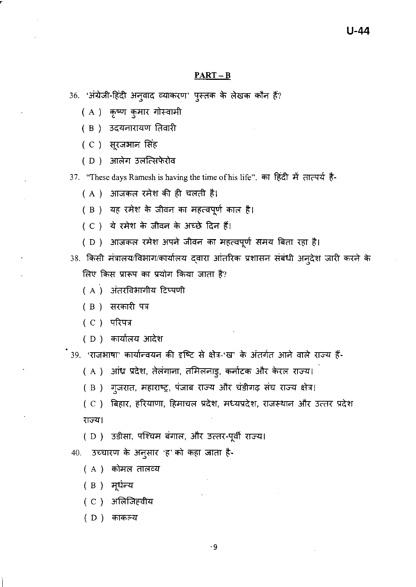### $PART - B$

- 36. 'अंग्रेजी-हिंदी अनुवाद व्याकरण' पुस्तक के लेखक कौन हैं?
	- ( A ) कृष्ण कुमार गोस्वामी
	- ( B ) उदयनारायण तिवारी
	- (C) सूरजभान सिंह
	- ( D ) आलेग उलत्सिफेरोव

37. "These days Ramesh is having the time of his life". का हिंदी में तात्पर्य है-

- ( A ) आजकल रमेश की ही चलती है।
- ( B ) यह रमेश के जीवन का महत्वपूर्ण काल है।
- (C) ये रमेश के जीवन के अच्छे दिन हैं।
- ( D ) आजकल रमेश अपने जीवन का महत्वपूर्ण समय बिता रहा है।
- 38. किसी मंत्रालय/विभाग/कार्यालय दवारा आंतरिक प्रशासन संबंधी अनुदेश जारी करने के लिए किस प्रारूप का प्रयोग किया जाता है?
	- ( A ) अंतरविभागीय टिप्पणी
	- ( B ) सरकारी पत्र
	- (C) परिपत्र
	- ( D ) कार्यालय आदेश

.<br>39. 'राजभाषा' कार्यान्वयन की दृष्टि से क्षेत्र-'ख' के अंतर्गत आने वाले राज्य हैं-

- ( A ) आंध्र प्रदेश, तेलंगाना, तमिलनाड्, कर्नाटक और केरल राज्य।
- (B) गूजरात, महाराष्ट्र, पंजाब राज्य और चंडीगढ़ संघ राज्य क्षेत्र!
- ( C ) बिहार, हरियाणा, हिमाचल प्रदेश, मध्यप्रदेश, राजस्थान और उत्तर प्रदेश राज्य।

( D ) उड़ीसा, पश्चिम बंगाल, और उत्तर-पूर्वी राज्य।

40. उच्चारण के अनुसार 'ह' को कहा जाता है-

- (A) कोमल तालव्य
- ( B ) मूर्धन्य
- ( C ) अलिजिहवीय
- ( D ) काकल्य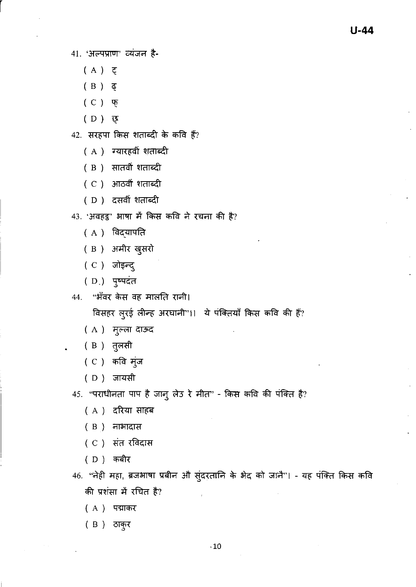41. 'अल्पप्राण' व्यंजन है-

- (A) そ
- $(B)$   $\bar{e}$
- $(C)$  फ़
- (D) छ

42. सरहपा किस शताब्दी के कवि हैं?

- ( A ) ग्यारहवीं शताब्दी
- (B) सातवीं शताब्दी
- ( C ) आठवीं शताब्दी
- (D) दसवीं शताब्दी
- 43. 'अवहट्ट' भाषा में किस कवि ने रचना की है?
	- (A) विदयापति
	- (B) अमीर ख़ुसरो
	- (C) जोइन्द्
	- (D.) पुष्पदंत
- 44. "भँवर केस वह मालति रानी।

विसहर लुरई लीन्ह अरघानी"।। ये पंक्तियाँ किस कवि की हैं?

- (A) मुल्ला दाऊद
- ( B ) तुलसी
- (C) कवि मंज
- (D) जायसी

45. "पराधीनता पाप है जानु लेउ रे मीत" - किस कवि की पंक्ति है?

- (A) दरिया साहब
- $(B)$  नाभादास
- (C) संत रविदास
- (D) कबीर
- 46. ''नेही महा, ब्रजभाषा प्रबीन औ सुंदरतानि के भेद को जानै''। यह पंक्ति किस कवि की प्रशंसा में रचित है?
	- (A) पद्माकर
	- (B) ठाक्*र*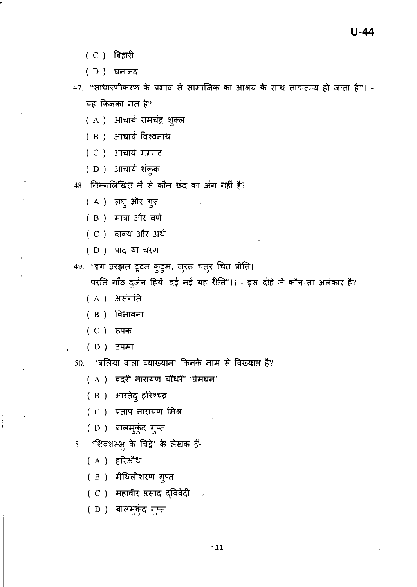- (C) बिहारी
- (D) घनानंद

47. "साधारणीकरण के प्रभाव से सामाजिक का आश्रय के साथ तादात्म्य हो जाता है"। -यह किनका मत है?

- ( A ) आचार्य रामचंद्र शुक्ल
- ( B ) आचार्य विश्वनाथ
- (C) आचार्य मम्मट
- (D) आचार्य शंकुक
- 48. निम्नलिखित में से कौन छंद का अंग नहीं है?
	- (A) लघु और गुरु
	- (B) मात्रा और वर्ण
	- (C) वाक्य और अर्थ
	- (D) पाद या चरण
- 49. "दृग उरझत टूटत कुटुम, जुरत चतुर चित प्रीति।

परति गाँठ दुर्जन हियें, दई नई यह रीति"।। - इस दोहे में कौन-सा अलंकार है?

- (A) असंगति
- ( B ) विभावना
- (C) रूपक
- (D) उपमा
- 50. 'बलिया वाला व्याख्यान' किनके नाम से विख्यात है?
	- ( A ) बदरी नारायण चौधरी 'प्रेमघन'
	- (B) भारतेंदु हरिश्चंद्र
	- (C) प्रताप नारायण मिश्र
	- (D) बालमुकुंद गुप्त
- 51. 'शिवशम्भु के चिट्ठे' के लेखक हैं-
	- (A) हरिऔध
	- ( B ) मैथिलीशरण गुप्त
	- ( C ) महावीर प्रसाद द्विवेदी
	- (D) बालमुकुंद गुप्त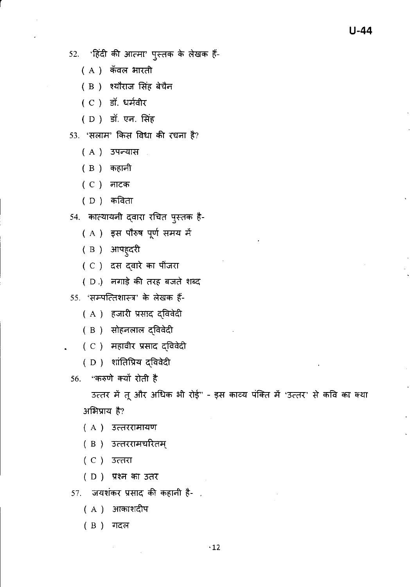52. 'हिंदी की आत्मा' पुस्तक के लेखक हैं-

- (A) कँवल भारती
- (B) श्यौराज सिंह बेचैन

(C) डॉ. धर्मवीर

(D) डॉ. एन. सिंह

53. 'सलाम' किस विधा की रचना है?

- (A) उपन्यास
- ( B ) कहानी
- ( C ) नाटक
- ( D ) कविता

54. कात्यायनी दवारा रचित पुस्तक है-

- ( A ) इस पौरुष पूर्ण समय में
- ( B ) आपहुदरी
- ( C ) दस दवारे का पींजरा
- ( D.) नगाड़े की तरह बजते शब्द
- 55. 'सम्पत्तिशास्त्र' के लेखक हैं-
	- ( A ) हजारी प्रसाद द्विवेदी
	- ( B ) सोहनलाल द्विवेदी
	- ( C ) महावीर प्रसाद दविवेदी
	- (D) शांतिप्रिय द्विवेदी

56. "करुणे क्यों रोती है

उत्तर में तू और अधिक भी रोई" - इस काव्य पंक्ति में 'उत्तर' से कवि का क्या अभिप्राय है?

- (A) उत्तररामायण
- ( B) उत्तररामचरितम्
- $(C)$  3 $c$  $\overline{c}$
- $(D)$  प्रश्न का उतर
- 57. जयशंकर प्रसाद की कहानी है- ,
	- (A) आकाशदीप
	- (B) गदल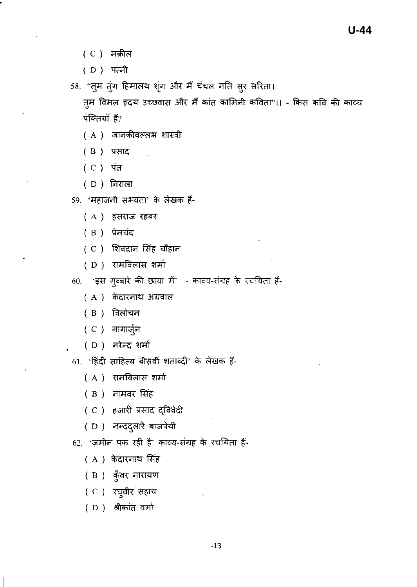- (C) मक्रील
- (D) पत्नी
- 58. "तुम तुंग हिमालय शृंग और मैं चंचल गति सुर सरिता।

तूम विमल हृदय उच्छ्वास और मैं कांत कामिनी कविता"।। - किस कवि की काव्य पंक्तियाँ हैं?

- ( A ) जानकीवल्लभ शास्त्री
- ( B ) प्रसाद
- ( C ) पंत
- (D) निराला
- 59. 'महाजनी सभ्यता' के लेखक हैं-
	- (A) हंसराज रहबर
	- (B) प्रेमचंद
	- ( C ) शिवदान सिंह चौहान
	- ( D ) रामविलास शर्मा
- 60. इस गुब्बारे की छाया में काव्य-संग्रह के रचयिता हैं-
	- ( A ) केदारनाथ अग्रवाल
	- $(B)$  त्रिलोचन
	- ( C ) नागार्जुन
	- ( D ) नरेन्द्र शर्मा
- 61. 'हिंदी साहित्य बीसवीं शताब्दी' के लेखक हैं-
	- ( A ) रामविलास शर्मा
	- (B) नामवर सिंह
	- ( C ) हजारी प्रसाद द्विवेदी
	- (D) नन्ददुलारे बाजपेयी
- 62. 'ज़मीन पक रही है' काव्य-संग्रह के रचयिता हैं-
	- (A) केदारनाथ सिंह
	- (B) कुँवर नारायण
	- (C) रघुवीर सहाय
	- (D) श्रीकांत वर्मा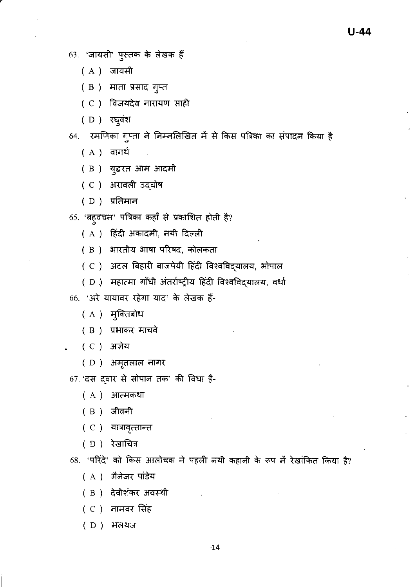63. 'जायसी' पुस्तक के लेखक हैं

- (A) जायसी
- (B) माता प्रसाद गुप्त
- (C) विजयदेव नारायण साही
- ( D ) रघुवंश
- 64. रमणिका गुप्ता ने निम्नलिखित में से किस पत्रिका का संपादन किया है
	- (A) वागर्थ
	- ( B ) युद्धरत आम आदमी
	- (C) अरावली उदघोष
	- $(D)$  प्रतिमान
- 65. 'बह्वचन' पत्रिका कहाँ से प्रकाशित होती है?
	- ( A ) हिंदी अकादमी, नयी दिल्ली
	- ( B ) आरतीय भाषा परिषद, कोलकता
	- ( C ) अटल बिहारी बाजपेयी हिंदी विश्वविदयालय, ओपाल
	- ( D ) महात्मा गाँधी अंतर्राष्ट्रीय हिंदी विश्वविदयालय, वर्धा
- 66. 'अरे यायावर रहेगा याद' के लेखक हैं-
	- ( A ) मुक्तिबोध
	- ( B ) प्रभाकर माचवे
	- ( C ) अज्ञेय
	- (D) अमृतलाल नागर
- 67. 'दस दवार से सोपान तक' की विधा है-
	- ( A ) आत्मकथा
	- ( B ) जीवनी
	- (C) यात्रावृत्तान्त
	- (D) रेखाचित्र
- 68. 'परिंदे' को किस आलोचक ने पहली नयी कहानी के रूप में रेखांकित किया है?
	- (A) मैनेजर पांडेय
	- ( B ) देवीशंकर अवस्थी
	- ( C ) नामवर सिंह
	- (D) मलयज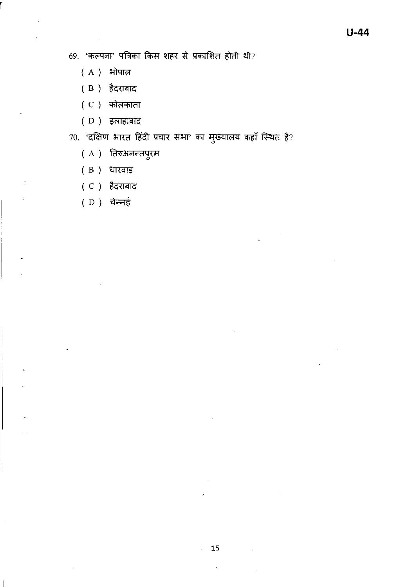69. 'कल्पना' पत्रिका किस शहर से प्रकाशित होती थी?

- $(A)$  भोपाल
- (B) हैदराबाद
- ( C ) कोलकाता
- ( D ) इलाहाबाद
- $70.$  'दक्षिण भारत हिंदी प्रचार सभा' का मुख्यालय कहाँ स्थित है?
	- (A) तिरुअनन्तपुरम
	- ( B ) धारवाइ
	- ( C ) हैदराबाद
	- ( D ) चेन्नई